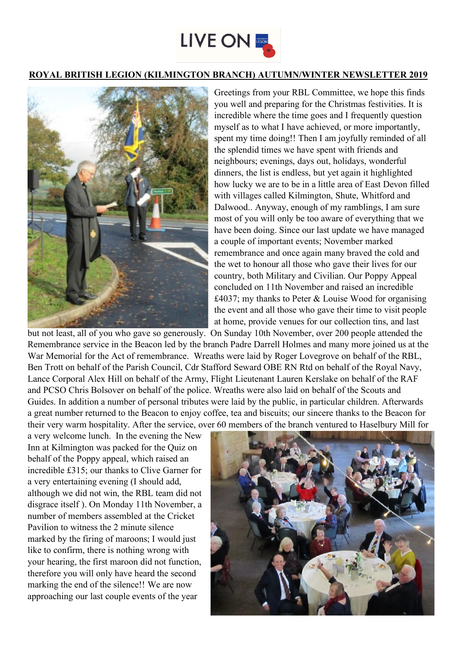

## **ROYAL BRITISH LEGION (KILMINGTON BRANCH) AUTUMN/WINTER NEWSLETTER 2019**



Greetings from your RBL Committee, we hope this finds you well and preparing for the Christmas festivities. It is incredible where the time goes and I frequently question myself as to what I have achieved, or more importantly, spent my time doing!! Then I am joyfully reminded of all the splendid times we have spent with friends and neighbours; evenings, days out, holidays, wonderful dinners, the list is endless, but yet again it highlighted how lucky we are to be in a little area of East Devon filled with villages called Kilmington, Shute, Whitford and Dalwood.. Anyway, enough of my ramblings, I am sure most of you will only be too aware of everything that we have been doing. Since our last update we have managed a couple of important events; November marked remembrance and once again many braved the cold and the wet to honour all those who gave their lives for our country, both Military and Civilian. Our Poppy Appeal concluded on 11th November and raised an incredible £4037; my thanks to Peter & Louise Wood for organising the event and all those who gave their time to visit people at home, provide venues for our collection tins, and last

but not least, all of you who gave so generously. On Sunday 10th November, over 200 people attended the Remembrance service in the Beacon led by the branch Padre Darrell Holmes and many more joined us at the War Memorial for the Act of remembrance. Wreaths were laid by Roger Lovegrove on behalf of the RBL, Ben Trott on behalf of the Parish Council, Cdr Stafford Seward OBE RN Rtd on behalf of the Royal Navy, Lance Corporal Alex Hill on behalf of the Army, Flight Lieutenant Lauren Kerslake on behalf of the RAF and PCSO Chris Bolsover on behalf of the police. Wreaths were also laid on behalf of the Scouts and Guides. In addition a number of personal tributes were laid by the public, in particular children. Afterwards a great number returned to the Beacon to enjoy coffee, tea and biscuits; our sincere thanks to the Beacon for their very warm hospitality. After the service, over 60 members of the branch ventured to Haselbury Mill for

a very welcome lunch. In the evening the New Inn at Kilmington was packed for the Quiz on behalf of the Poppy appeal, which raised an incredible £315; our thanks to Clive Garner for a very entertaining evening (I should add, although we did not win, the RBL team did not disgrace itself ). On Monday 11th November, a number of members assembled at the Cricket Pavilion to witness the 2 minute silence marked by the firing of maroons; I would just like to confirm, there is nothing wrong with your hearing, the first maroon did not function, therefore you will only have heard the second marking the end of the silence!! We are now approaching our last couple events of the year